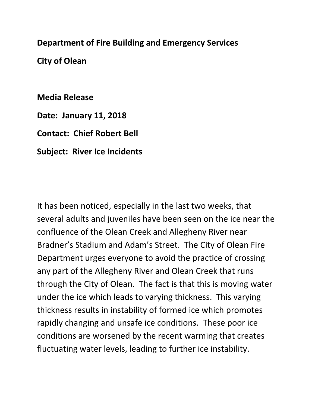## **Department of Fire Building and Emergency Services**

**City of Olean**

**Media Release**

**Date: January 11, 2018**

**Contact: Chief Robert Bell**

**Subject: River Ice Incidents**

It has been noticed, especially in the last two weeks, that several adults and juveniles have been seen on the ice near the confluence of the Olean Creek and Allegheny River near Bradner's Stadium and Adam's Street. The City of Olean Fire Department urges everyone to avoid the practice of crossing any part of the Allegheny River and Olean Creek that runs through the City of Olean. The fact is that this is moving water under the ice which leads to varying thickness. This varying thickness results in instability of formed ice which promotes rapidly changing and unsafe ice conditions. These poor ice conditions are worsened by the recent warming that creates fluctuating water levels, leading to further ice instability.